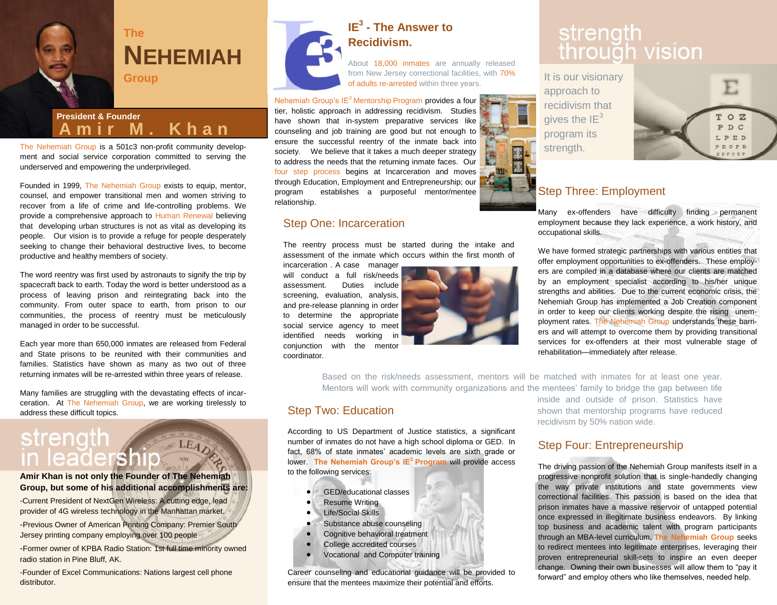

### **The NEHEMIAH Group**

#### **President & Founder A m i r M . K h a n**

The Nehemiah Group is a 501c3 non-profit community development and social service corporation committed to serving the underserved and empowering the underprivileged.

Founded in 1999, The Nehemiah Group exists to equip, mentor, counsel, and empower transitional men and women striving to recover from a life of crime and life-controlling problems. We provide a comprehensive approach to Human Renewal believing that developing urban structures is not as vital as developing its people. Our vision is to provide a refuge for people desperately seeking to change their behavioral destructive lives, to become productive and healthy members of society.

The word reentry was first used by astronauts to signify the trip by spacecraft back to earth. Today the word is better understood as a process of leaving prison and reintegrating back into the community. From outer space to earth, from prison to our communities, the process of reentry must be meticulously managed in order to be successful.

Each year more than 650,000 inmates are released from Federal and State prisons to be reunited with their communities and families. Statistics have shown as many as two out of three returning inmates will be re-arrested within three years of release.

Many families are struggling with the devastating effects of incarceration. At The Nehemiah Group, we are working tirelessly to address these difficult topics.

### strength LEAD in leadership

#### **Amir Khan is not only the Founder of The Nehemiah Group, but some of his additional accomplishments are:**

-Current President of NextGen Wireless: A cutting edge, lead provider of 4G wireless technology in the Manhattan market.

-Previous Owner of American Printing Company: Premier South Jersey printing company employing over 100 people

-Former owner of KPBA Radio Station: 1st full time minority owned radio station in Pine Bluff, AK.

-Founder of Excel Communications: Nations largest cell phone distributor.



#### **IE<sup>3</sup> - The Answer to Recidivism.**

About 18,000 inmates are annually released from New Jersey correctional facilities, with 70% of adults re-arrested within three years.

Nehemiah Group's  $IE^3$  Mentorship Program provides a four tier, holistic approach in addressing recidivism. Studies have shown that in-system preparative services like counseling and job training are good but not enough to ensure the successful reentry of the inmate back into society. We believe that it takes a much deeper strategy to address the needs that the returning inmate faces. Our four step process begins at Incarceration and moves through Education, Employment and Entrepreneurship; our program establishes a purposeful mentor/mentee relationship.

#### Step One: Incarceration

The reentry process must be started during the intake and assessment of the inmate which occurs within the first month of

incarceration . A case manager will conduct a full risk/needs assessment. Duties include screening, evaluation, analysis, and pre-release planning in order to determine the appropriate social service agency to meet identified needs working in conjunction with the mentor coordinator.



## strength<br>through vision

It is our visionary approach to recidivism that gives the  $IE^3$ program its strength.



#### Step Three: Employment

Many ex-offenders have difficulty finding permanent employment because they lack experience, a work history, and occupational skills.

We have formed strategic partnerships with various entities that offer employment opportunities to ex-offenders. These employers are compiled in a database where our clients are matched by an employment specialist according to his/her unique strengths and abilities. Due to the current economic crisis, the Nehemiah Group has implemented a Job Creation component in order to keep our clients working despite the rising unemployment rates. The Nehemiah Group understands these barriers and will attempt to overcome them by providing transitional services for ex-offenders at their most vulnerable stage of rehabilitation—immediately after release.

Based on the risk/needs assessment, mentors will be matched with inmates for at least one year. Mentors will work with community organizations and the mentees' family to bridge the gap between life

#### Step Two: Education

According to US Department of Justice statistics, a significant number of inmates do not have a high school diploma or GED. In fact, 68% of state inmates' academic levels are sixth grade or lower. **The Nehemiah Group's IE<sup>3</sup>Program** will provide access to the following services:

- **GED/educational classes**
- **•** Resume Writing
- Life/Social Skills
- Substance abuse counseling
- Cognitive behavioral treatment
- College accredited courses
- Vocational and Computer training

Career counseling and educational guidance will be provided to ensure that the mentees maximize their potential and efforts.

inside and outside of prison. Statistics have shown that mentorship programs have reduced recidivism by 50% nation wide.

#### Step Four: Entrepreneurship

The driving passion of the Nehemiah Group manifests itself in a progressive nonprofit solution that is single-handedly changing the way private institutions and state governments view correctional facilities. This passion is based on the idea that prison inmates have a massive reservoir of untapped potential once expressed in illegitimate business endeavors. By linking top business and academic talent with program participants through an MBA-level curriculum, **The Nehemiah Group** seeks to redirect mentees into legitimate enterprises, leveraging their proven entrepreneurial skill-sets to inspire an even deeper change. Owning their own businesses will allow them to "pay it forward" and employ others who like themselves, needed help.